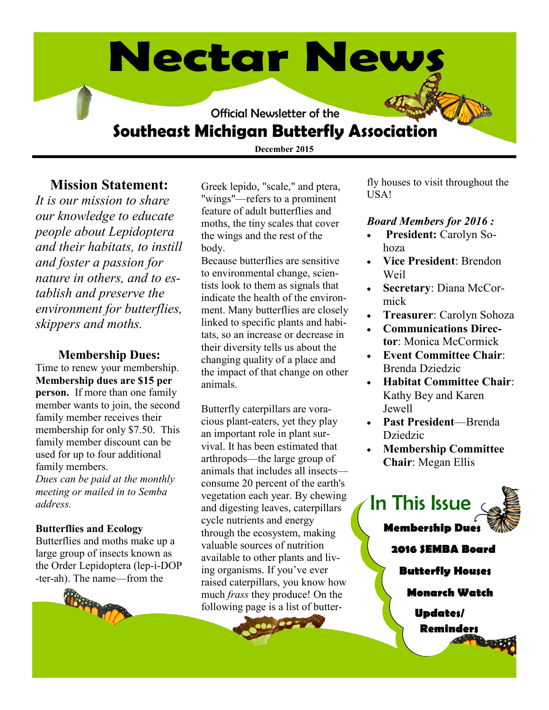# **Nectar News**

Official Newsletter of the

# **Southeast Michigan Butterfly Association**

**December 2015**

#### **Mission Statement:**

*It is our mission to share our knowledge to educate people about Lepidoptera and their habitats, to instill and foster a passion for nature in others, and to establish and preserve the environment for butterflies, skippers and moths.* 

#### **Membership Dues:**

Time to renew your membership. **Membership dues are \$15 per person.** If more than one family member wants to join, the second family member receives their membership for only \$7.50. This family member discount can be used for up to four additional family members. *Dues can be paid at the monthly meeting or mailed in to Semba address.*

#### **Butterflies and Ecology**

Butterflies and moths make up a large group of insects known as the Order Lepidoptera (lep-i-DOP -ter-ah). The name—from the



Greek lepido, "scale," and ptera, "wings"—refers to a prominent feature of adult butterflies and moths, the tiny scales that cover the wings and the rest of the body.

Because butterflies are sensitive to environmental change, scientists look to them as signals that indicate the health of the environment. Many butterflies are closely linked to specific plants and habitats, so an increase or decrease in their diversity tells us about the changing quality of a place and the impact of that change on other animals.

Butterfly caterpillars are voracious plant-eaters, yet they play an important role in plant survival. It has been estimated that arthropods—the large group of animals that includes all insects consume 20 percent of the earth's vegetation each year. By chewing and digesting leaves, caterpillars cycle nutrients and energy through the ecosystem, making valuable sources of nutrition available to other plants and living organisms. If you've ever raised caterpillars, you know how much *frass* they produce! On the following page is a list of butter-

 $\begin{array}{c|c|c|c} \hline \multicolumn{3}{c|}{\mathbf{a}} & \multicolumn{3}{c|}{\mathbf{a}} & \multicolumn{3}{c|}{\mathbf{c}} \end{array}$ 

fly houses to visit throughout the USA!

#### *Board Members for 2016 :*

- **President:** Carolyn Sohoza
- **Vice President**: Brendon Weil
- **Secretary**: Diana McCormick
- **Treasurer**: Carolyn Sohoza
- **Communications Director**: Monica McCormick
- **Event Committee Chair**: Brenda Dziedzic
- **Habitat Committee Chair**: Kathy Bey and Karen Jewell
- **Past President**—Brenda Dziedzic
- **Membership Committee Chair**: Megan Ellis

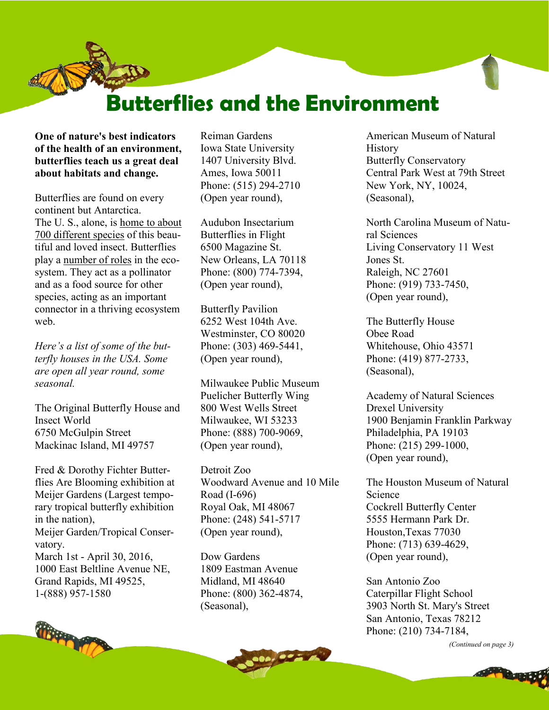# **Butterflies and the Environment**

**One of nature's best indicators of the health of an environment, butterflies teach us a great deal about habitats and change.**

Butterflies are found on every continent but Antarctica. The U. S., alone, is [home to about](http://aggie-horticulture.tamu.edu/galveston/beneficials/beneficial-66_pollinators-butterflies.htm)  [700 different species](http://aggie-horticulture.tamu.edu/galveston/beneficials/beneficial-66_pollinators-butterflies.htm) of this beautiful and loved insect. Butterflies play a [number of roles](http://justbefirsttoknow.blogspot.com/2013/02/role-of-butterflies-in-ecosystem.html) in the ecosystem. They act as a pollinator and as a food source for other species, acting as an important connector in a thriving ecosystem web.

*Here's a list of some of the butterfly houses in the USA. Some are open all year round, some seasonal.*

The Original Butterfly House and Insect World 6750 McGulpin Street Mackinac Island, MI 49757

Fred & Dorothy Fichter Butterflies Are Blooming exhibition at Meijer Gardens (Largest temporary tropical butterfly exhibition in the nation), Meijer Garden/Tropical Conservatory. March 1st - April 30, 2016, 1000 East Beltline Avenue NE, Grand Rapids, MI 49525, 1-(888) 957-1580



Reiman Gardens Iowa State University 1407 University Blvd. Ames, Iowa 50011 Phone: (515) 294-2710 (Open year round),

Audubon Insectarium Butterflies in Flight 6500 Magazine St. New Orleans, LA 70118 Phone: (800) 774-7394, (Open year round),

Butterfly Pavilion 6252 West 104th Ave. Westminster, CO 80020 Phone: (303) 469-5441, (Open year round),

Milwaukee Public Museum Puelicher Butterfly Wing 800 West Wells Street Milwaukee, WI 53233 Phone: (888) 700-9069, (Open year round),

Detroit Zoo Woodward Avenue and 10 Mile Road (I-696) Royal Oak, MI 48067 Phone: (248) 541-5717 (Open year round),

Dow Gardens 1809 Eastman Avenue Midland, MI 48640 Phone: (800) 362-4874, (Seasonal),

American Museum of Natural **History** Butterfly Conservatory Central Park West at 79th Street New York, NY, 10024, (Seasonal),

North Carolina Museum of Natural Sciences Living Conservatory 11 West Jones St. Raleigh, NC 27601 Phone: (919) 733-7450, (Open year round),

The Butterfly House Obee Road Whitehouse, Ohio 43571 Phone: (419) 877-2733, (Seasonal),

Academy of Natural Sciences Drexel University 1900 Benjamin Franklin Parkway Philadelphia, PA 19103 Phone: (215) 299-1000, (Open year round),

The Houston Museum of Natural Science Cockrell Butterfly Center 5555 Hermann Park Dr. Houston,Texas 77030 Phone: (713) 639-4629, (Open year round),

San Antonio Zoo Caterpillar Flight School 3903 North St. Mary's Street San Antonio, Texas 78212 Phone: (210) 734-7184,

*(Continued on page 3)*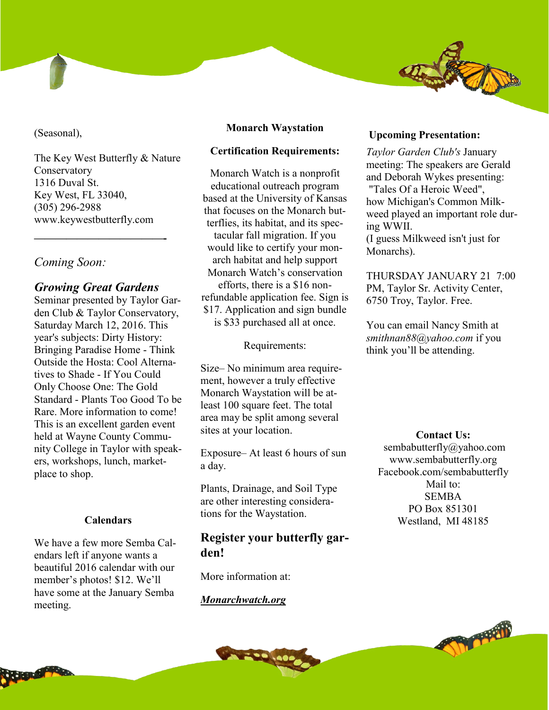(Seasonal),

The Key West Butterfly & Nature **Conservatory** 1316 Duval St. Key West, FL 33040, (305) 296-2988 www.keywestbutterfly.com

#### *Coming Soon:*

#### *Growing Great Gardens*

**————————————-**

Seminar presented by Taylor Garden Club & Taylor Conservatory, Saturday March 12, 2016. This year's subjects: Dirty History: Bringing Paradise Home - Think Outside the Hosta: Cool Alternatives to Shade - If You Could Only Choose One: The Gold Standard - Plants Too Good To be Rare. More information to come! This is an excellent garden event held at Wayne County Community College in Taylor with speakers, workshops, lunch, marketplace to shop.

#### **Calendars**

We have a few more Semba Calendars left if anyone wants a beautiful 2016 calendar with our member's photos! \$12. We'll have some at the January Semba meeting.

#### **Monarch Waystation**

#### **Certification Requirements:**

Monarch Watch is a nonprofit educational outreach program based at the University of Kansas that focuses on the Monarch butterflies, its habitat, and its spectacular fall migration. If you would like to certify your monarch habitat and help support Monarch Watch's conservation efforts, there is a \$16 nonrefundable application fee. Sign is \$17. Application and sign bundle is \$33 purchased all at once.

Requirements:

Size– No minimum area requirement, however a truly effective Monarch Waystation will be atleast 100 square feet. The total area may be split among several sites at your location.

Exposure– At least 6 hours of sun a day.

Plants, Drainage, and Soil Type are other interesting considerations for the Waystation.

#### **Register your butterfly garden!**

More information at:

#### *Monarchwatch.org*

#### **Upcoming Presentation:**

*Taylor Garden Club's* January meeting: The speakers are Gerald and Deborah Wykes presenting: "Tales Of a Heroic Weed", how Michigan's Common Milkweed played an important role during WWII. (I guess Milkweed isn't just for Monarchs).

THURSDAY JANUARY 21 7:00 PM, Taylor Sr. Activity Center, 6750 Troy, Taylor. Free.

You can email Nancy Smith at *smithnan88@yahoo.com* if you think you'll be attending.

**Contact Us:** sembabutterfly@yahoo.com www.sembabutterfly.org Facebook.com/sembabutterfly Mail to: SEMBA PO Box 851301 Westland, MI 48185